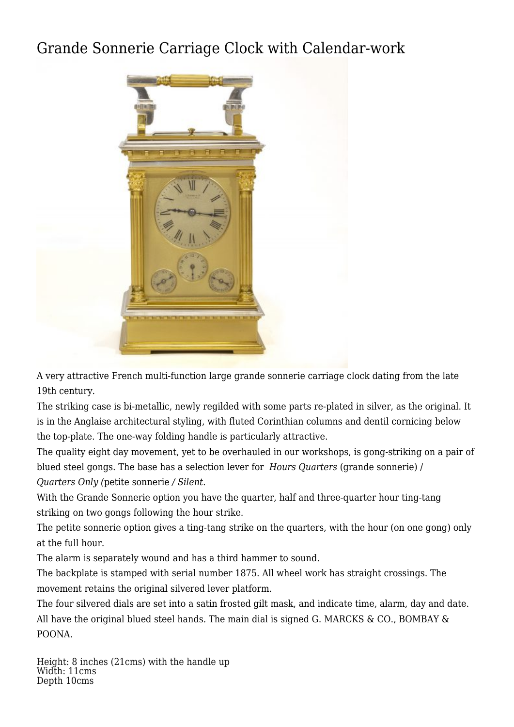## [Grande Sonnerie Carriage Clock with Calendar-work](http://www.ukclocks.com/products/grande-sonnerie-carriage-clock-with-calendar-work/)



A very attractive French multi-function large grande sonnerie carriage clock dating from the late 19th century.

The striking case is bi-metallic, newly regilded with some parts re-plated in silver, as the original. It is in the Anglaise architectural styling, with fluted Corinthian columns and dentil cornicing below the top-plate. The one-way folding handle is particularly attractive.

The quality eight day movement, yet to be overhauled in our workshops, is gong-striking on a pair of blued steel gongs. The base has a selection lever for *Hours Quarters* (grande sonnerie) / *Quarters Only (*petite sonnerie */ Silent.*

With the Grande Sonnerie option you have the quarter, half and three-quarter hour ting-tang striking on two gongs following the hour strike.

The petite sonnerie option gives a ting-tang strike on the quarters, with the hour (on one gong) only at the full hour.

The alarm is separately wound and has a third hammer to sound.

The backplate is stamped with serial number 1875. All wheel work has straight crossings. The movement retains the original silvered lever platform.

The four silvered dials are set into a satin frosted gilt mask, and indicate time, alarm, day and date. All have the original blued steel hands. The main dial is signed G. MARCKS & CO., BOMBAY & POONA.

Height: 8 inches (21cms) with the handle up Width: 11cms Depth 10cms